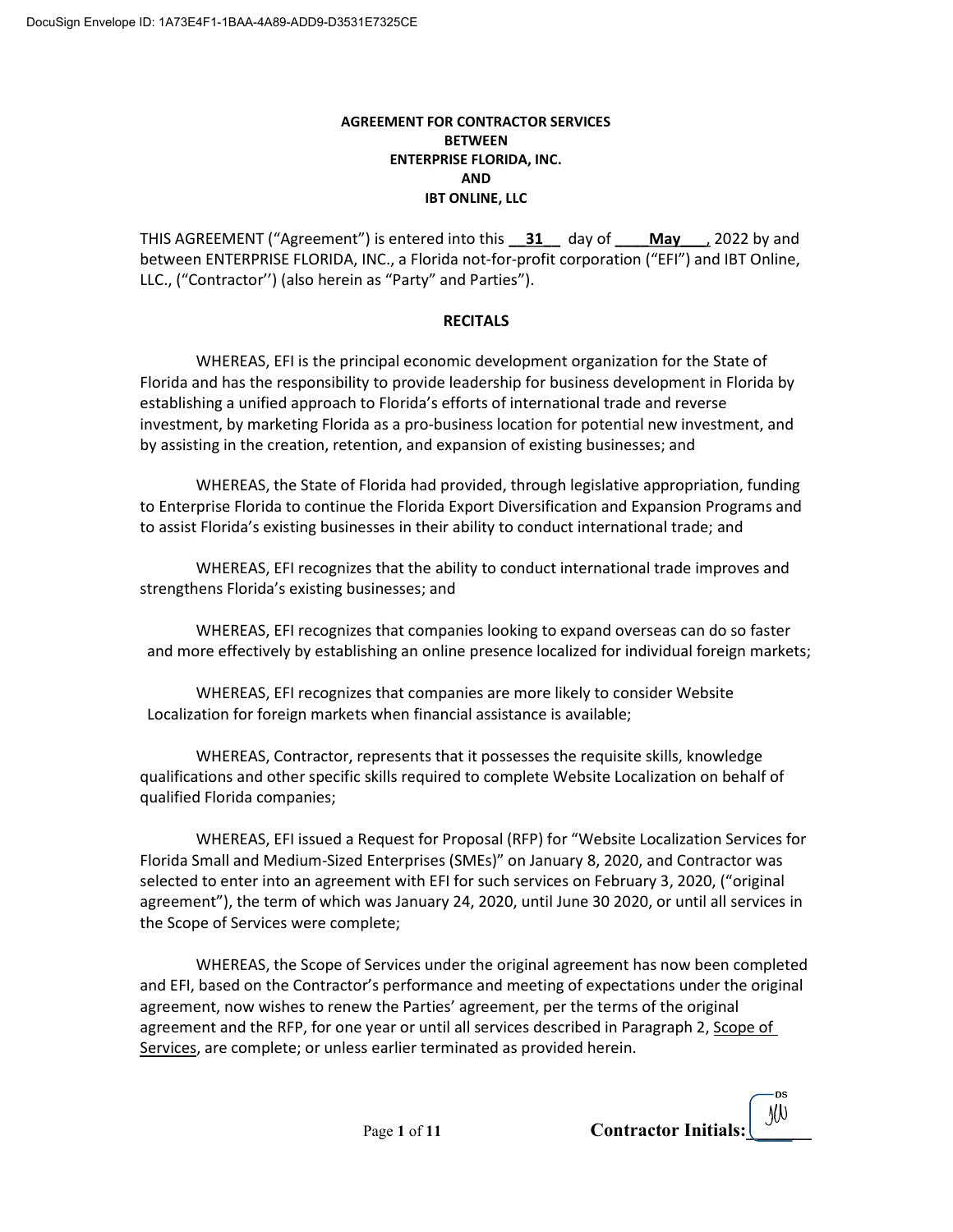## AGREEMENT FOR CONTRACTOR SERVICES BETWEEN ENTERPRISE FLORIDA, INC. AND IBT ONLINE, LLC

THIS AGREEMENT ("Agreement") is entered into this  $\frac{31}{4}$  day of  $\frac{May}{4}$ , 2022 by and between ENTERPRISE FLORIDA, INC., a Florida not-for-profit corporation ("EFI") and IBT Online, LLC., ("Contractor'') (also herein as "Party" and Parties").

# **RECITALS**

WHEREAS, EFI is the principal economic development organization for the State of Florida and has the responsibility to provide leadership for business development in Florida by establishing a unified approach to Florida's efforts of international trade and reverse investment, by marketing Florida as a pro-business location for potential new investment, and by assisting in the creation, retention, and expansion of existing businesses; and

WHEREAS, the State of Florida had provided, through legislative appropriation, funding to Enterprise Florida to continue the Florida Export Diversification and Expansion Programs and to assist Florida's existing businesses in their ability to conduct international trade; and

WHEREAS, EFI recognizes that the ability to conduct international trade improves and strengthens Florida's existing businesses; and

WHEREAS, EFI recognizes that companies looking to expand overseas can do so faster and more effectively by establishing an online presence localized for individual foreign markets;

WHEREAS, EFI recognizes that companies are more likely to consider Website Localization for foreign markets when financial assistance is available;

WHEREAS, Contractor, represents that it possesses the requisite skills, knowledge qualifications and other specific skills required to complete Website Localization on behalf of qualified Florida companies;

WHEREAS, EFI issued a Request for Proposal (RFP) for "Website Localization Services for Florida Small and Medium-Sized Enterprises (SMEs)" on January 8, 2020, and Contractor was selected to enter into an agreement with EFI for such services on February 3, 2020, ("original agreement"), the term of which was January 24, 2020, until June 30 2020, or until all services in the Scope of Services were complete;

WHEREAS, the Scope of Services under the original agreement has now been completed and EFI, based on the Contractor's performance and meeting of expectations under the original agreement, now wishes to renew the Parties' agreement, per the terms of the original agreement and the RFP, for one year or until all services described in Paragraph 2, Scope of Services, are complete; or unless earlier terminated as provided herein.

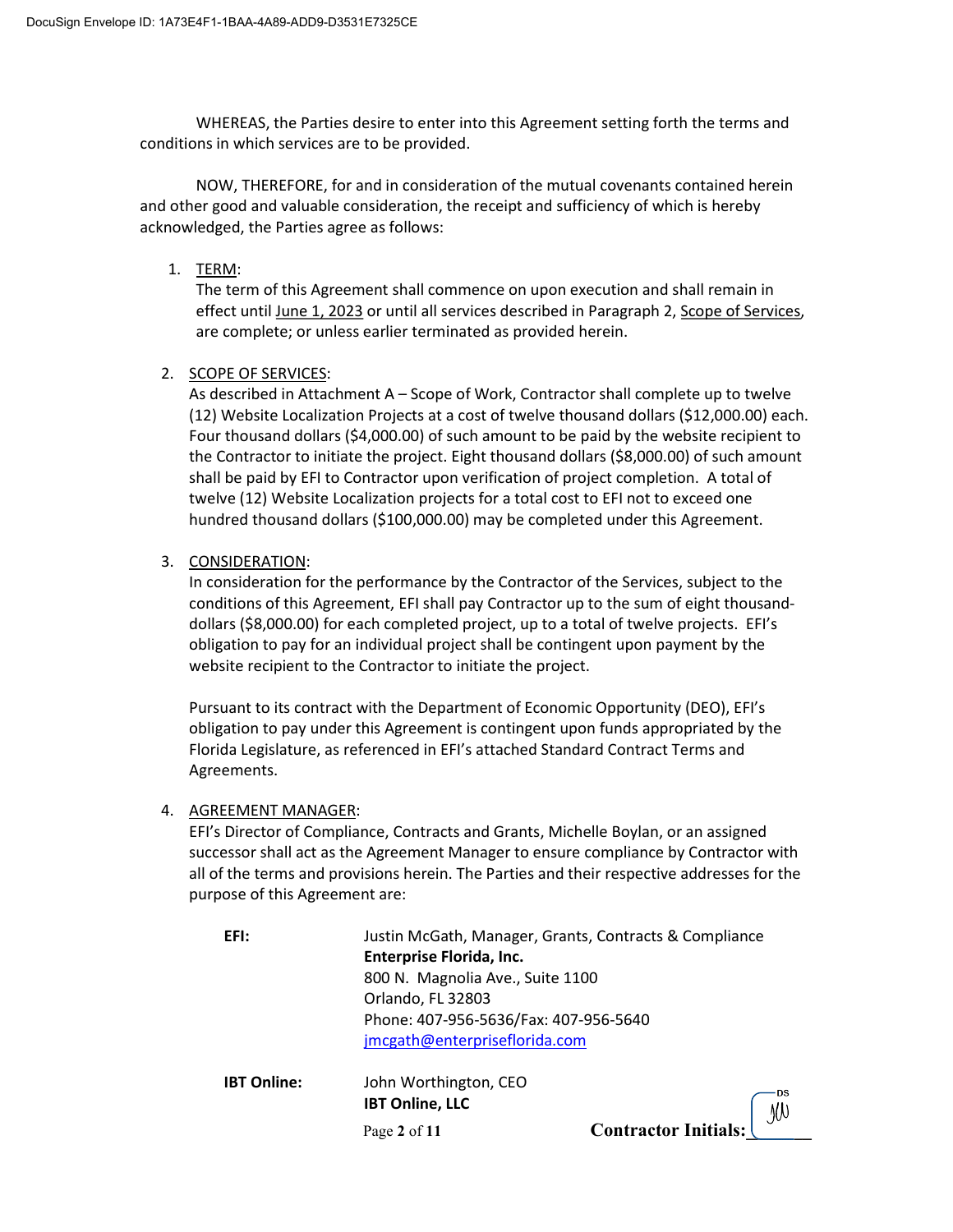WHEREAS, the Parties desire to enter into this Agreement setting forth the terms and conditions in which services are to be provided.

 NOW, THEREFORE, for and in consideration of the mutual covenants contained herein and other good and valuable consideration, the receipt and sufficiency of which is hereby acknowledged, the Parties agree as follows:

1. TERM:

The term of this Agreement shall commence on upon execution and shall remain in effect until June 1, 2023 or until all services described in Paragraph 2, Scope of Services, are complete; or unless earlier terminated as provided herein.

2. SCOPE OF SERVICES:

As described in Attachment A – Scope of Work, Contractor shall complete up to twelve (12) Website Localization Projects at a cost of twelve thousand dollars (\$12,000.00) each. Four thousand dollars (\$4,000.00) of such amount to be paid by the website recipient to the Contractor to initiate the project. Eight thousand dollars (\$8,000.00) of such amount shall be paid by EFI to Contractor upon verification of project completion. A total of twelve (12) Website Localization projects for a total cost to EFI not to exceed one hundred thousand dollars (\$100,000.00) may be completed under this Agreement.

3. CONSIDERATION:

In consideration for the performance by the Contractor of the Services, subject to the conditions of this Agreement, EFI shall pay Contractor up to the sum of eight thousanddollars (\$8,000.00) for each completed project, up to a total of twelve projects. EFI's obligation to pay for an individual project shall be contingent upon payment by the website recipient to the Contractor to initiate the project.

Pursuant to its contract with the Department of Economic Opportunity (DEO), EFI's obligation to pay under this Agreement is contingent upon funds appropriated by the Florida Legislature, as referenced in EFI's attached Standard Contract Terms and Agreements.

# 4. AGREEMENT MANAGER:

EFI's Director of Compliance, Contracts and Grants, Michelle Boylan, or an assigned successor shall act as the Agreement Manager to ensure compliance by Contractor with all of the terms and provisions herein. The Parties and their respective addresses for the purpose of this Agreement are:

| EFI:               | Justin McGath, Manager, Grants, Contracts & Compliance |                      |
|--------------------|--------------------------------------------------------|----------------------|
|                    | <b>Enterprise Florida, Inc.</b>                        |                      |
|                    | 800 N. Magnolia Ave., Suite 1100                       |                      |
|                    | Orlando, FL 32803                                      |                      |
|                    | Phone: 407-956-5636/Fax: 407-956-5640                  |                      |
|                    | jmcgath@enterpriseflorida.com                          |                      |
| <b>IBT Online:</b> | John Worthington, CEO<br><b>IBT Online, LLC</b>        |                      |
|                    | Page 2 of 11                                           | Contractor Initials: |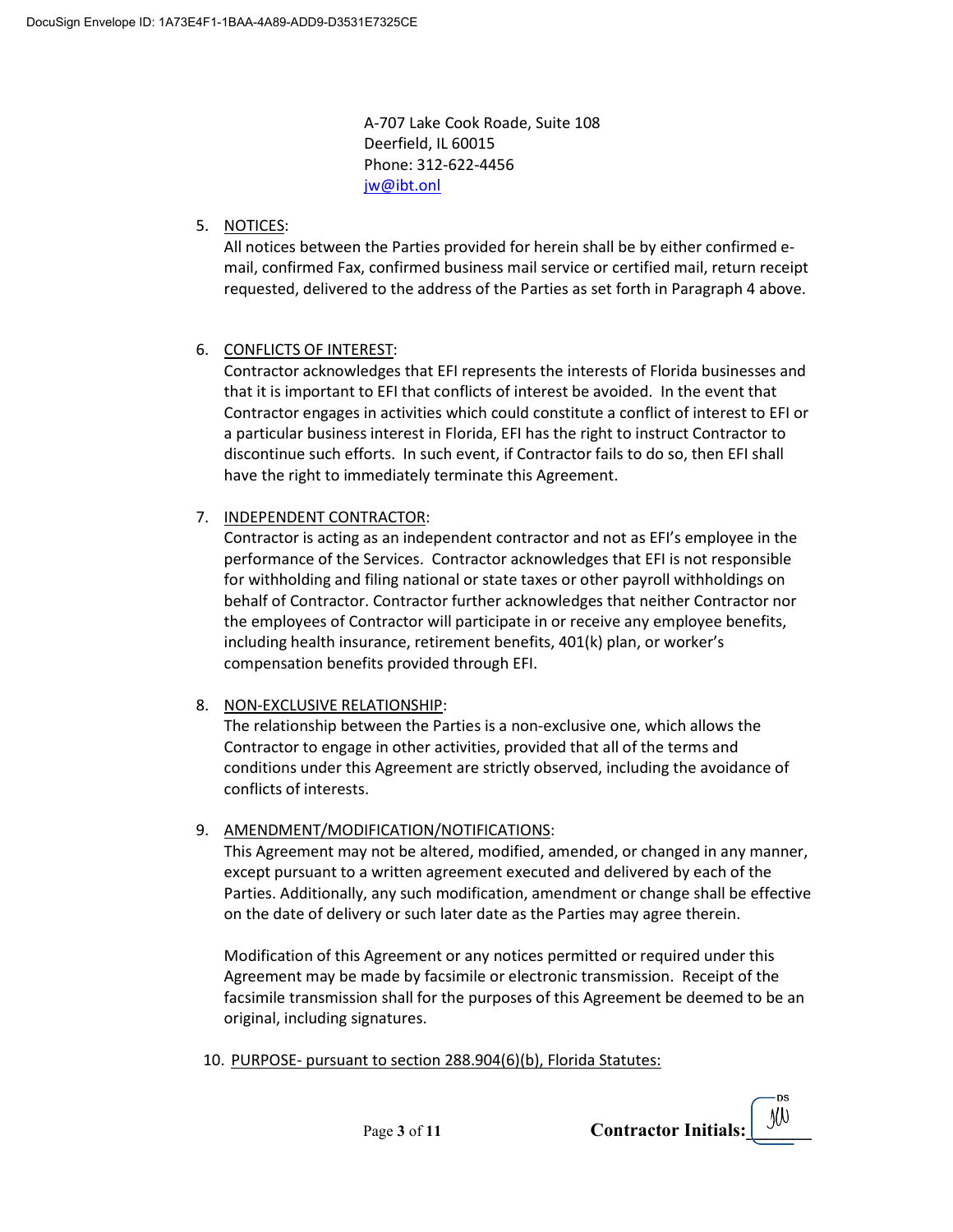A-707 Lake Cook Roade, Suite 108 Deerfield, IL 60015 Phone: 312-622-4456 jw@ibt.onl

# 5. NOTICES:

All notices between the Parties provided for herein shall be by either confirmed email, confirmed Fax, confirmed business mail service or certified mail, return receipt requested, delivered to the address of the Parties as set forth in Paragraph 4 above.

# 6. CONFLICTS OF INTEREST:

Contractor acknowledges that EFI represents the interests of Florida businesses and that it is important to EFI that conflicts of interest be avoided. In the event that Contractor engages in activities which could constitute a conflict of interest to EFI or a particular business interest in Florida, EFI has the right to instruct Contractor to discontinue such efforts. In such event, if Contractor fails to do so, then EFI shall have the right to immediately terminate this Agreement.

# 7. INDEPENDENT CONTRACTOR:

Contractor is acting as an independent contractor and not as EFI's employee in the performance of the Services. Contractor acknowledges that EFI is not responsible for withholding and filing national or state taxes or other payroll withholdings on behalf of Contractor. Contractor further acknowledges that neither Contractor nor the employees of Contractor will participate in or receive any employee benefits, including health insurance, retirement benefits, 401(k) plan, or worker's compensation benefits provided through EFI.

# 8. NON-EXCLUSIVE RELATIONSHIP:

The relationship between the Parties is a non-exclusive one, which allows the Contractor to engage in other activities, provided that all of the terms and conditions under this Agreement are strictly observed, including the avoidance of conflicts of interests.

# 9. AMENDMENT/MODIFICATION/NOTIFICATIONS:

This Agreement may not be altered, modified, amended, or changed in any manner, except pursuant to a written agreement executed and delivered by each of the Parties. Additionally, any such modification, amendment or change shall be effective on the date of delivery or such later date as the Parties may agree therein.

Modification of this Agreement or any notices permitted or required under this Agreement may be made by facsimile or electronic transmission. Receipt of the facsimile transmission shall for the purposes of this Agreement be deemed to be an original, including signatures.

10. PURPOSE- pursuant to section 288.904(6)(b), Florida Statutes:

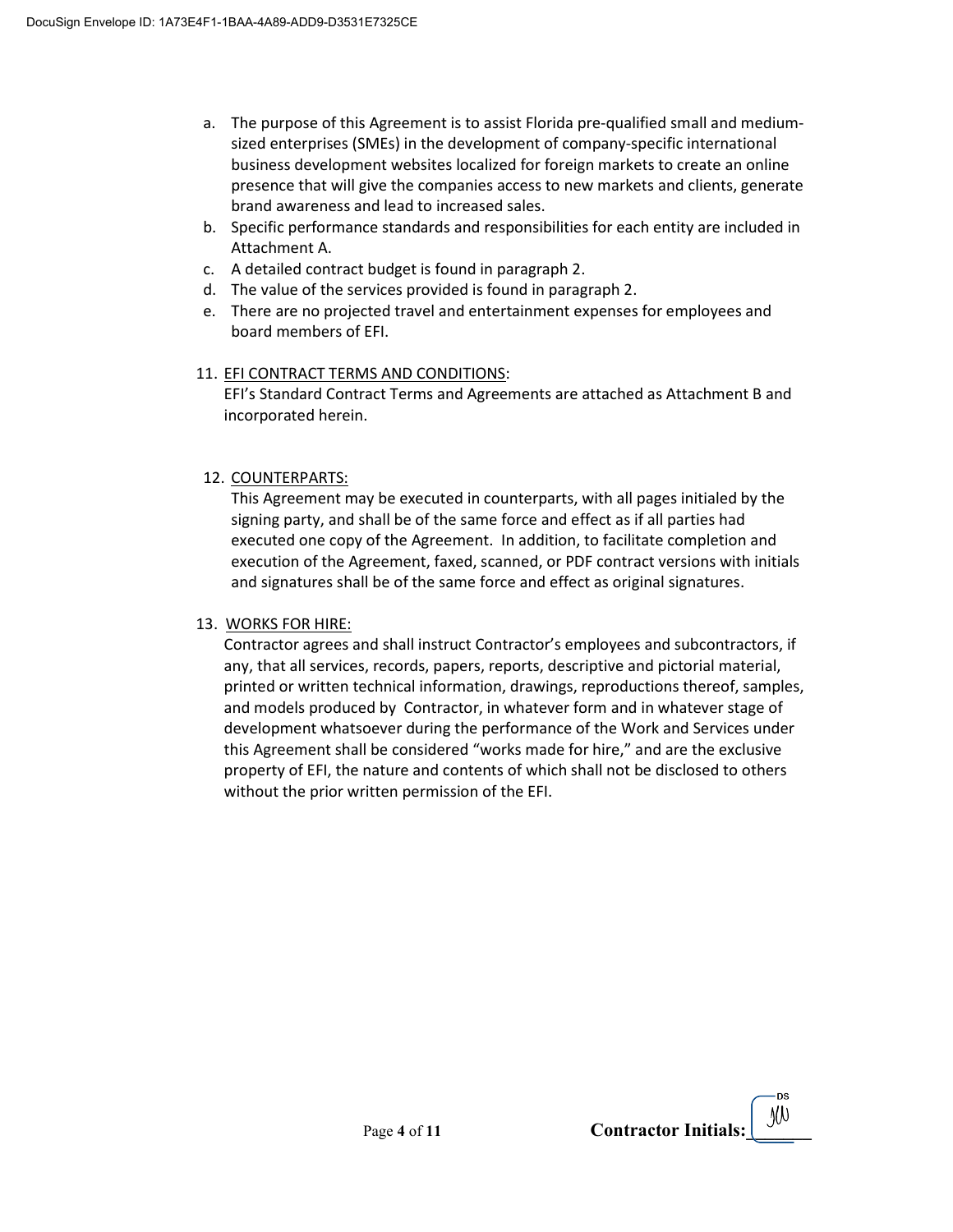- a. The purpose of this Agreement is to assist Florida pre-qualified small and mediumsized enterprises (SMEs) in the development of company-specific international business development websites localized for foreign markets to create an online presence that will give the companies access to new markets and clients, generate brand awareness and lead to increased sales.
- b. Specific performance standards and responsibilities for each entity are included in Attachment A.
- c. A detailed contract budget is found in paragraph 2.
- d. The value of the services provided is found in paragraph 2.
- e. There are no projected travel and entertainment expenses for employees and board members of EFI.

# 11. EFI CONTRACT TERMS AND CONDITIONS:

EFI's Standard Contract Terms and Agreements are attached as Attachment B and incorporated herein.

# 12. COUNTERPARTS:

This Agreement may be executed in counterparts, with all pages initialed by the signing party, and shall be of the same force and effect as if all parties had executed one copy of the Agreement. In addition, to facilitate completion and execution of the Agreement, faxed, scanned, or PDF contract versions with initials and signatures shall be of the same force and effect as original signatures.

# 13. WORKS FOR HIRE:

Contractor agrees and shall instruct Contractor's employees and subcontractors, if any, that all services, records, papers, reports, descriptive and pictorial material, printed or written technical information, drawings, reproductions thereof, samples, and models produced by Contractor, in whatever form and in whatever stage of development whatsoever during the performance of the Work and Services under this Agreement shall be considered "works made for hire," and are the exclusive property of EFI, the nature and contents of which shall not be disclosed to others without the prior written permission of the EFI.

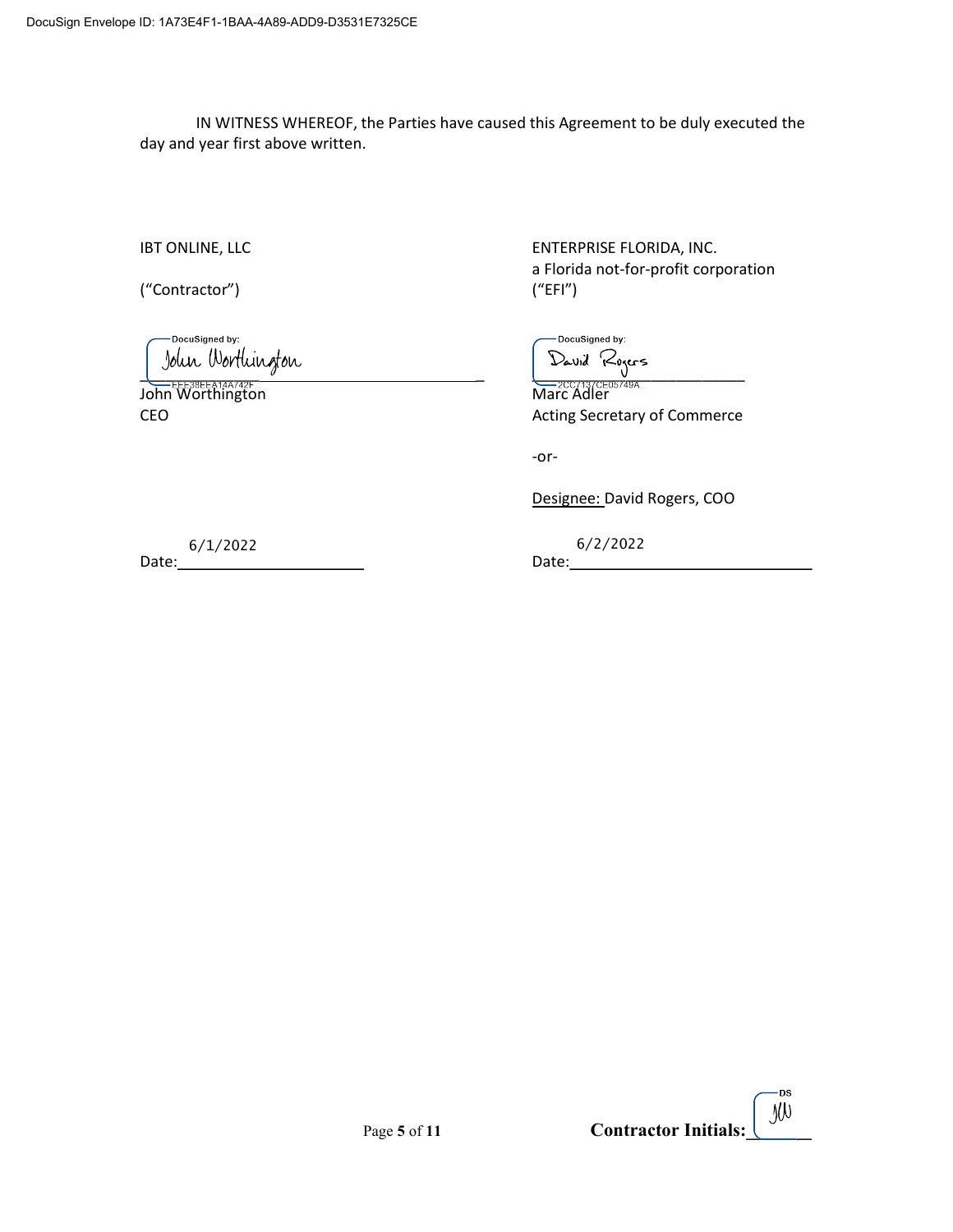IN WITNESS WHEREOF, the Parties have caused this Agreement to be duly executed the day and year first above written.

("Contractor") ("EFI")

DocuSigned by: \_\_\_\_\_\_\_\_\_\_\_\_\_\_ \_ \_\_\_\_\_\_\_\_\_\_\_\_\_\_\_\_\_\_\_\_\_\_\_\_\_

John Worthington

IBT ONLINE, LLC **ENTERPRISE FLORIDA, INC.** a Florida not-for-profit corporation

-DocuSigned by:

CEO **CEO Acting Secretary of Commerce** 

-or-

Designee: David Rogers, COO

Date: Date: 6/1/2022 6/2/2022

·DS Page 5 of 11 Contractor Initials:  $\left[\begin{array}{c} \mathcal{Y}(\mathcal{Y}) \\ \mathcal{Y}(\mathcal{Y})\end{array}\right]$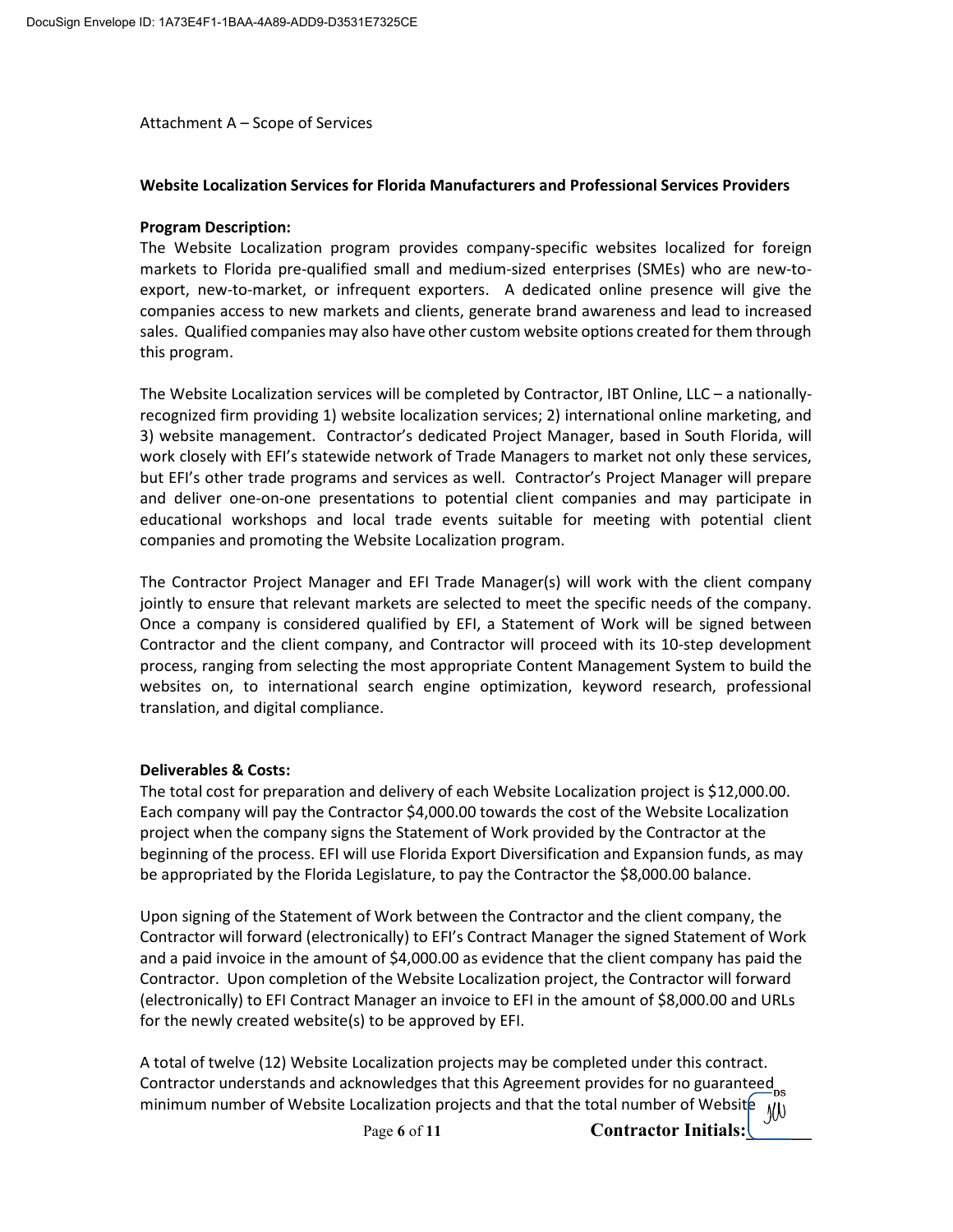Attachment A – Scope of Services

### Website Localization Services for Florida Manufacturers and Professional Services Providers

### Program Description:

The Website Localization program provides company-specific websites localized for foreign markets to Florida pre-qualified small and medium-sized enterprises (SMEs) who are new-toexport, new-to-market, or infrequent exporters. A dedicated online presence will give the companies access to new markets and clients, generate brand awareness and lead to increased sales. Qualified companies may also have other custom website options created for them through this program.

The Website Localization services will be completed by Contractor, IBT Online, LLC – a nationallyrecognized firm providing 1) website localization services; 2) international online marketing, and 3) website management. Contractor's dedicated Project Manager, based in South Florida, will work closely with EFI's statewide network of Trade Managers to market not only these services, but EFI's other trade programs and services as well. Contractor's Project Manager will prepare and deliver one-on-one presentations to potential client companies and may participate in educational workshops and local trade events suitable for meeting with potential client companies and promoting the Website Localization program.

The Contractor Project Manager and EFI Trade Manager(s) will work with the client company jointly to ensure that relevant markets are selected to meet the specific needs of the company. Once a company is considered qualified by EFI, a Statement of Work will be signed between Contractor and the client company, and Contractor will proceed with its 10-step development process, ranging from selecting the most appropriate Content Management System to build the websites on, to international search engine optimization, keyword research, professional translation, and digital compliance.

### Deliverables & Costs:

The total cost for preparation and delivery of each Website Localization project is \$12,000.00. Each company will pay the Contractor \$4,000.00 towards the cost of the Website Localization project when the company signs the Statement of Work provided by the Contractor at the beginning of the process. EFI will use Florida Export Diversification and Expansion funds, as may be appropriated by the Florida Legislature, to pay the Contractor the \$8,000.00 balance.

Upon signing of the Statement of Work between the Contractor and the client company, the Contractor will forward (electronically) to EFI's Contract Manager the signed Statement of Work and a paid invoice in the amount of \$4,000.00 as evidence that the client company has paid the Contractor. Upon completion of the Website Localization project, the Contractor will forward (electronically) to EFI Contract Manager an invoice to EFI in the amount of \$8,000.00 and URLs for the newly created website(s) to be approved by EFI.

A total of twelve (12) Website Localization projects may be completed under this contract. Contractor understands and acknowledges that this Agreement provides for no guaranteed<sub>ps</sub> minimum number of Website Localization projects and that the total number of Website  $\overline{y}$ 

Page 6 of 11 **Contractor Initials:**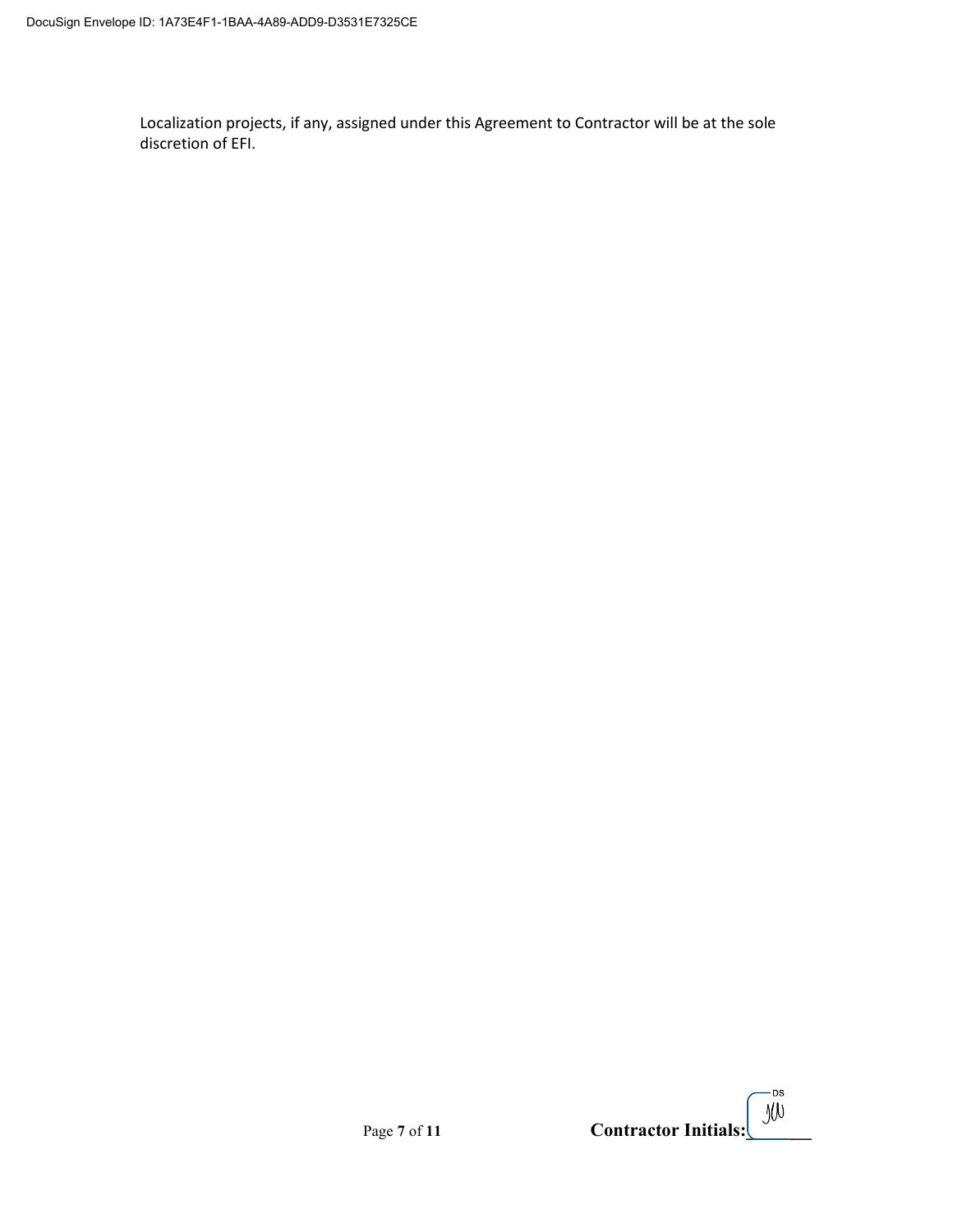Localization projects, if any, assigned under this Agreement to Contractor will be at the sole discretion of EFI.

|              | Contractor Initials: $\left[\begin{array}{c} \mathbb{D}^{\text{ss}} \\ \mathbb{D}(\mathbb{D}) \end{array}\right]$ |
|--------------|-------------------------------------------------------------------------------------------------------------------|
| Page 7 of 11 |                                                                                                                   |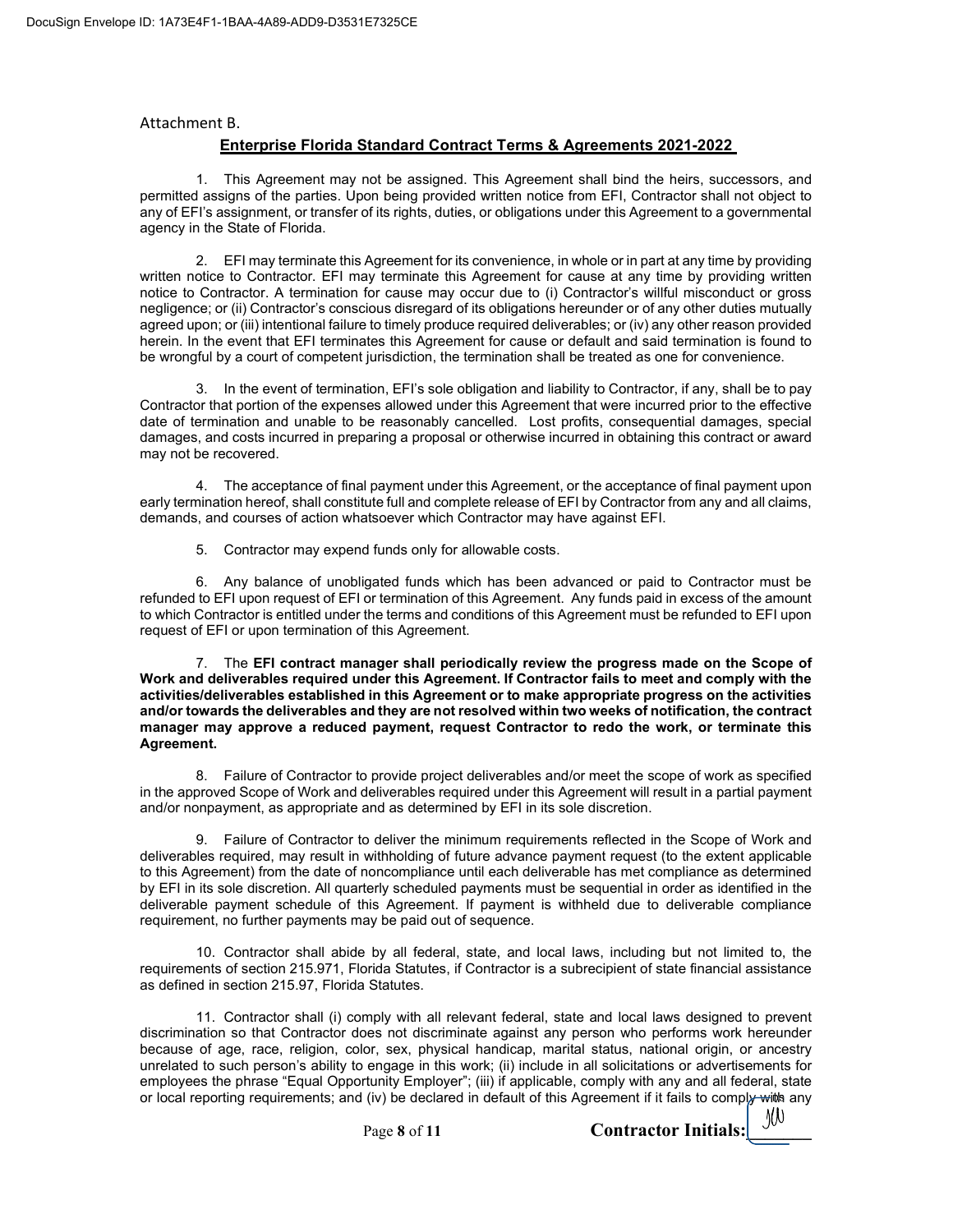#### Attachment B.

## Enterprise Florida Standard Contract Terms & Agreements 2021-2022

1. This Agreement may not be assigned. This Agreement shall bind the heirs, successors, and permitted assigns of the parties. Upon being provided written notice from EFI, Contractor shall not object to any of EFI's assignment, or transfer of its rights, duties, or obligations under this Agreement to a governmental agency in the State of Florida.

2. EFI may terminate this Agreement for its convenience, in whole or in part at any time by providing written notice to Contractor. EFI may terminate this Agreement for cause at any time by providing written notice to Contractor. A termination for cause may occur due to (i) Contractor's willful misconduct or gross negligence; or (ii) Contractor's conscious disregard of its obligations hereunder or of any other duties mutually agreed upon; or (iii) intentional failure to timely produce required deliverables; or (iv) any other reason provided herein. In the event that EFI terminates this Agreement for cause or default and said termination is found to be wrongful by a court of competent jurisdiction, the termination shall be treated as one for convenience.

3. In the event of termination, EFI's sole obligation and liability to Contractor, if any, shall be to pay Contractor that portion of the expenses allowed under this Agreement that were incurred prior to the effective date of termination and unable to be reasonably cancelled. Lost profits, consequential damages, special damages, and costs incurred in preparing a proposal or otherwise incurred in obtaining this contract or award may not be recovered.

4. The acceptance of final payment under this Agreement, or the acceptance of final payment upon early termination hereof, shall constitute full and complete release of EFI by Contractor from any and all claims, demands, and courses of action whatsoever which Contractor may have against EFI.

5. Contractor may expend funds only for allowable costs.

6. Any balance of unobligated funds which has been advanced or paid to Contractor must be refunded to EFI upon request of EFI or termination of this Agreement. Any funds paid in excess of the amount to which Contractor is entitled under the terms and conditions of this Agreement must be refunded to EFI upon request of EFI or upon termination of this Agreement.

7. The EFI contract manager shall periodically review the progress made on the Scope of Work and deliverables required under this Agreement. If Contractor fails to meet and comply with the activities/deliverables established in this Agreement or to make appropriate progress on the activities and/or towards the deliverables and they are not resolved within two weeks of notification, the contract manager may approve a reduced payment, request Contractor to redo the work, or terminate this Agreement.

8. Failure of Contractor to provide project deliverables and/or meet the scope of work as specified in the approved Scope of Work and deliverables required under this Agreement will result in a partial payment and/or nonpayment, as appropriate and as determined by EFI in its sole discretion.

9. Failure of Contractor to deliver the minimum requirements reflected in the Scope of Work and deliverables required, may result in withholding of future advance payment request (to the extent applicable to this Agreement) from the date of noncompliance until each deliverable has met compliance as determined by EFI in its sole discretion. All quarterly scheduled payments must be sequential in order as identified in the deliverable payment schedule of this Agreement. If payment is withheld due to deliverable compliance requirement, no further payments may be paid out of sequence.

10. Contractor shall abide by all federal, state, and local laws, including but not limited to, the requirements of section 215.971, Florida Statutes, if Contractor is a subrecipient of state financial assistance as defined in section 215.97, Florida Statutes.

11. Contractor shall (i) comply with all relevant federal, state and local laws designed to prevent discrimination so that Contractor does not discriminate against any person who performs work hereunder because of age, race, religion, color, sex, physical handicap, marital status, national origin, or ancestry unrelated to such person's ability to engage in this work; (ii) include in all solicitations or advertisements for employees the phrase "Equal Opportunity Employer"; (iii) if applicable, comply with any and all federal, state or local reporting requirements; and (iv) be declared in default of this Agreement if it fails to compla with any

Page 8 of 11 Contractor Initials:

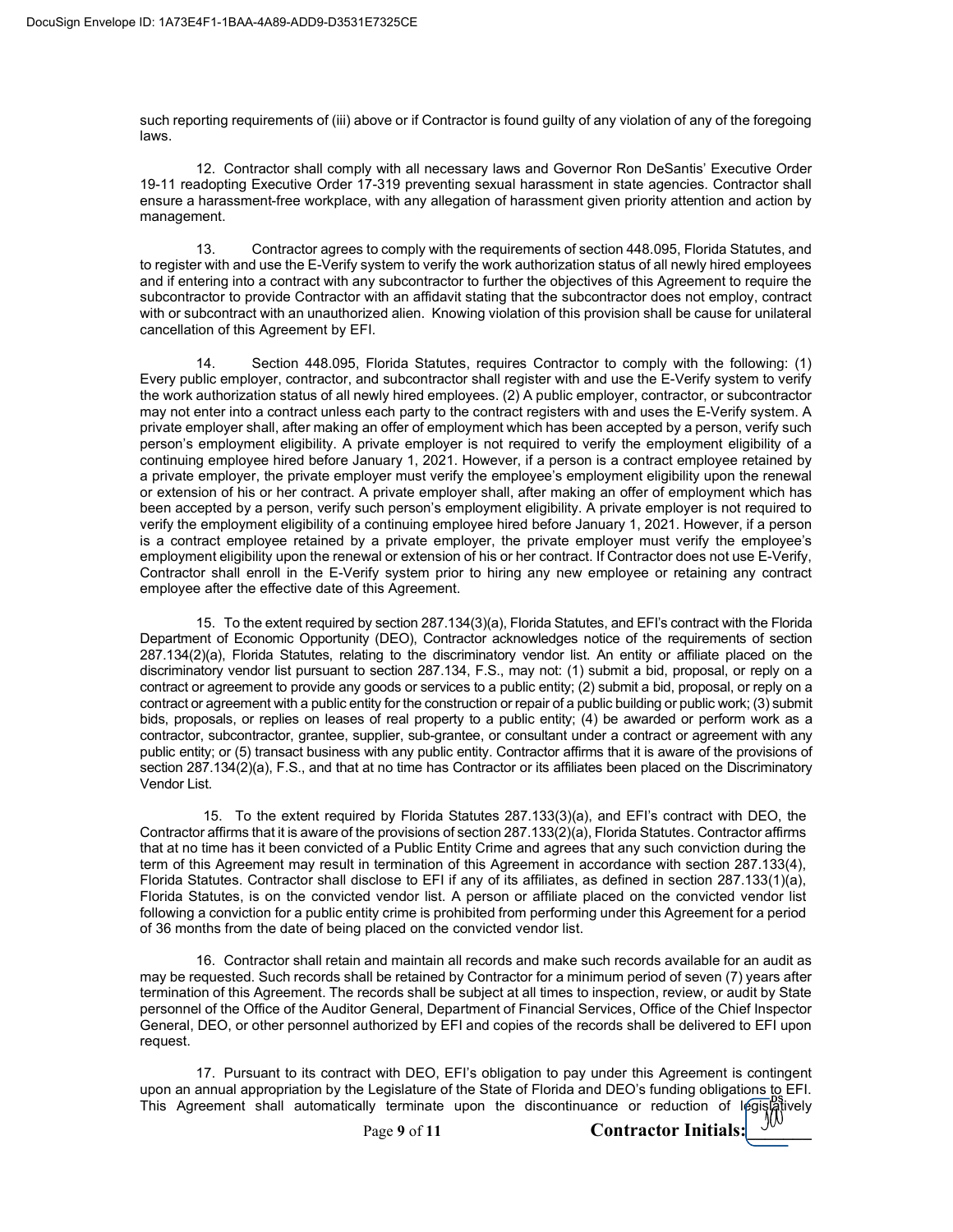such reporting requirements of (iii) above or if Contractor is found guilty of any violation of any of the foregoing laws.

12. Contractor shall comply with all necessary laws and Governor Ron DeSantis' Executive Order 19-11 readopting Executive Order 17-319 preventing sexual harassment in state agencies. Contractor shall ensure a harassment-free workplace, with any allegation of harassment given priority attention and action by management.

13. Contractor agrees to comply with the requirements of section 448.095, Florida Statutes, and to register with and use the E-Verify system to verify the work authorization status of all newly hired employees and if entering into a contract with any subcontractor to further the objectives of this Agreement to require the subcontractor to provide Contractor with an affidavit stating that the subcontractor does not employ, contract with or subcontract with an unauthorized alien. Knowing violation of this provision shall be cause for unilateral cancellation of this Agreement by EFI.

14. Section 448.095, Florida Statutes, requires Contractor to comply with the following: (1) Every public employer, contractor, and subcontractor shall register with and use the E-Verify system to verify the work authorization status of all newly hired employees. (2) A public employer, contractor, or subcontractor may not enter into a contract unless each party to the contract registers with and uses the E-Verify system. A private employer shall, after making an offer of employment which has been accepted by a person, verify such person's employment eligibility. A private employer is not required to verify the employment eligibility of a continuing employee hired before January 1, 2021. However, if a person is a contract employee retained by a private employer, the private employer must verify the employee's employment eligibility upon the renewal or extension of his or her contract. A private employer shall, after making an offer of employment which has been accepted by a person, verify such person's employment eligibility. A private employer is not required to verify the employment eligibility of a continuing employee hired before January 1, 2021. However, if a person is a contract employee retained by a private employer, the private employer must verify the employee's employment eligibility upon the renewal or extension of his or her contract. If Contractor does not use E-Verify, Contractor shall enroll in the E-Verify system prior to hiring any new employee or retaining any contract employee after the effective date of this Agreement.

15. To the extent required by section 287.134(3)(a), Florida Statutes, and EFI's contract with the Florida Department of Economic Opportunity (DEO), Contractor acknowledges notice of the requirements of section 287.134(2)(a), Florida Statutes, relating to the discriminatory vendor list. An entity or affiliate placed on the discriminatory vendor list pursuant to section 287.134, F.S., may not: (1) submit a bid, proposal, or reply on a contract or agreement to provide any goods or services to a public entity; (2) submit a bid, proposal, or reply on a contract or agreement with a public entity for the construction or repair of a public building or public work; (3) submit bids, proposals, or replies on leases of real property to a public entity; (4) be awarded or perform work as a contractor, subcontractor, grantee, supplier, sub-grantee, or consultant under a contract or agreement with any public entity; or (5) transact business with any public entity. Contractor affirms that it is aware of the provisions of section 287.134(2)(a), F.S., and that at no time has Contractor or its affiliates been placed on the Discriminatory Vendor List.

15. To the extent required by Florida Statutes 287.133(3)(a), and EFI's contract with DEO, the Contractor affirms that it is aware of the provisions of section 287.133(2)(a), Florida Statutes. Contractor affirms that at no time has it been convicted of a Public Entity Crime and agrees that any such conviction during the term of this Agreement may result in termination of this Agreement in accordance with section 287.133(4), Florida Statutes. Contractor shall disclose to EFI if any of its affiliates, as defined in section 287.133(1)(a), Florida Statutes, is on the convicted vendor list. A person or affiliate placed on the convicted vendor list following a conviction for a public entity crime is prohibited from performing under this Agreement for a period of 36 months from the date of being placed on the convicted vendor list.

16. Contractor shall retain and maintain all records and make such records available for an audit as may be requested. Such records shall be retained by Contractor for a minimum period of seven (7) years after termination of this Agreement. The records shall be subject at all times to inspection, review, or audit by State personnel of the Office of the Auditor General, Department of Financial Services, Office of the Chief Inspector General, DEO, or other personnel authorized by EFI and copies of the records shall be delivered to EFI upon request.

17. Pursuant to its contract with DEO, EFI's obligation to pay under this Agreement is contingent upon an annual appropriation by the Legislature of the State of Florida and DEO's funding obligations to EFI. This Agreement shall automatically terminate upon the discontinuance or reduction of legislatively

Page 9 of 11 **Contractor Initials:**  $\frac{y}{y}$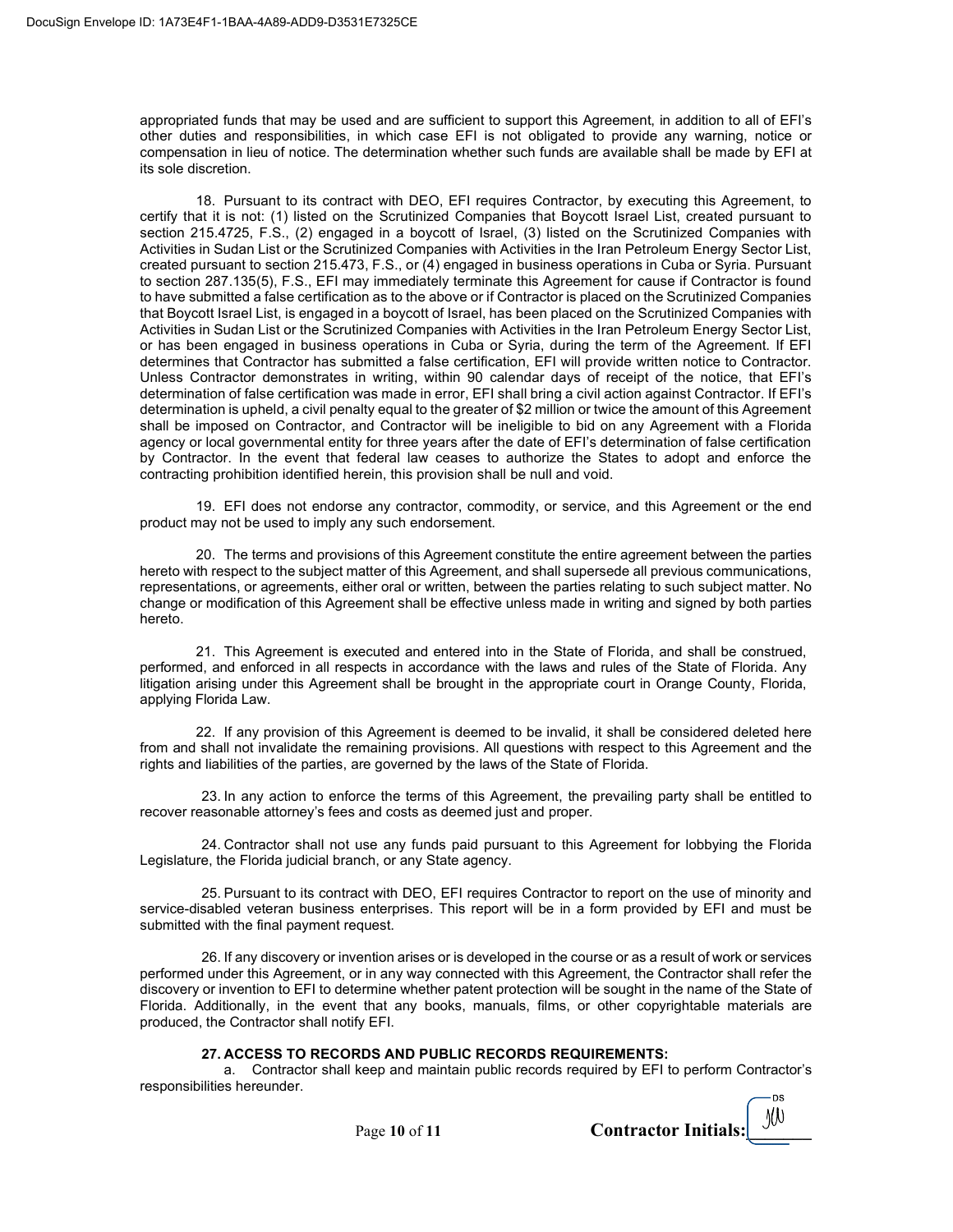appropriated funds that may be used and are sufficient to support this Agreement, in addition to all of EFI's other duties and responsibilities, in which case EFI is not obligated to provide any warning, notice or compensation in lieu of notice. The determination whether such funds are available shall be made by EFI at its sole discretion.

18. Pursuant to its contract with DEO, EFI requires Contractor, by executing this Agreement, to certify that it is not: (1) listed on the Scrutinized Companies that Boycott Israel List, created pursuant to section 215.4725, F.S., (2) engaged in a boycott of Israel, (3) listed on the Scrutinized Companies with Activities in Sudan List or the Scrutinized Companies with Activities in the Iran Petroleum Energy Sector List, created pursuant to section 215.473, F.S., or (4) engaged in business operations in Cuba or Syria. Pursuant to section 287.135(5), F.S., EFI may immediately terminate this Agreement for cause if Contractor is found to have submitted a false certification as to the above or if Contractor is placed on the Scrutinized Companies that Boycott Israel List, is engaged in a boycott of Israel, has been placed on the Scrutinized Companies with Activities in Sudan List or the Scrutinized Companies with Activities in the Iran Petroleum Energy Sector List, or has been engaged in business operations in Cuba or Syria, during the term of the Agreement. If EFI determines that Contractor has submitted a false certification, EFI will provide written notice to Contractor. Unless Contractor demonstrates in writing, within 90 calendar days of receipt of the notice, that EFI's determination of false certification was made in error, EFI shall bring a civil action against Contractor. If EFI's determination is upheld, a civil penalty equal to the greater of \$2 million or twice the amount of this Agreement shall be imposed on Contractor, and Contractor will be ineligible to bid on any Agreement with a Florida agency or local governmental entity for three years after the date of EFI's determination of false certification by Contractor. In the event that federal law ceases to authorize the States to adopt and enforce the contracting prohibition identified herein, this provision shall be null and void.

19. EFI does not endorse any contractor, commodity, or service, and this Agreement or the end product may not be used to imply any such endorsement.

20. The terms and provisions of this Agreement constitute the entire agreement between the parties hereto with respect to the subject matter of this Agreement, and shall supersede all previous communications, representations, or agreements, either oral or written, between the parties relating to such subject matter. No change or modification of this Agreement shall be effective unless made in writing and signed by both parties hereto.

21. This Agreement is executed and entered into in the State of Florida, and shall be construed, performed, and enforced in all respects in accordance with the laws and rules of the State of Florida. Any litigation arising under this Agreement shall be brought in the appropriate court in Orange County, Florida, applying Florida Law.

22. If any provision of this Agreement is deemed to be invalid, it shall be considered deleted here from and shall not invalidate the remaining provisions. All questions with respect to this Agreement and the rights and liabilities of the parties, are governed by the laws of the State of Florida.

23. In any action to enforce the terms of this Agreement, the prevailing party shall be entitled to recover reasonable attorney's fees and costs as deemed just and proper.

24. Contractor shall not use any funds paid pursuant to this Agreement for lobbying the Florida Legislature, the Florida judicial branch, or any State agency.

25. Pursuant to its contract with DEO, EFI requires Contractor to report on the use of minority and service-disabled veteran business enterprises. This report will be in a form provided by EFI and must be submitted with the final payment request.

26. If any discovery or invention arises or is developed in the course or as a result of work or services performed under this Agreement, or in any way connected with this Agreement, the Contractor shall refer the discovery or invention to EFI to determine whether patent protection will be sought in the name of the State of Florida. Additionally, in the event that any books, manuals, films, or other copyrightable materials are produced, the Contractor shall notify EFI.

#### 27. ACCESS TO RECORDS AND PUBLIC RECORDS REQUIREMENTS:

a. Contractor shall keep and maintain public records required by EFI to perform Contractor's responsibilities hereunder.